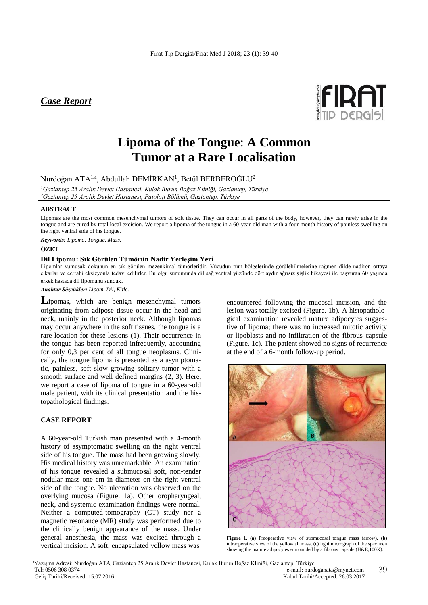# *Case Report*



# **Lipoma of the Tongue**: **A Common Tumor at a Rare Localisation**

Nurdoğan ATA $^{1,a},$  Abdullah DEMİRKAN $^{\rm l}$ , Betül BERBEROĞLU $^{\rm 2}$ 

*<sup>1</sup>Gaziantep 25 Aralık Devlet Hastanesi, Kulak Burun Boğaz Kliniği, Gaziantep, Türkiye <sup>2</sup>Gaziantep 25 Aralık Devlet Hastanesi, Patoloji Bölümü, Gaziantep, Türkiye*

#### **ABSTRACT**

Lipomas are the most common mesenchymal tumors of soft tissue. They can occur in all parts of the body, however, they can rarely arise in the tongue and are cured by total local excision. We report a lipoma of the tongue in a 60-year-old man with a four-month history of painless swelling on the right ventral side of his tongue.

*Keywords: Lipoma, Tongue, Mass.*

### **ÖZET**

#### **Dil Lipomu: Sık Görülen Tümörün Nadir Yerleşim Yeri**

Lipomlar yumuşak dokunun en sık görülen mezenkimal tümörleridir. Vücudun tüm bölgelerinde görülebilmelerine rağmen dilde nadiren ortaya çıkarlar ve cerrahi eksizyonla tedavi edilirler. Bu olgu sunumunda dil sağ ventral yüzünde dört aydır ağrısız şişlik hikayesi ile başvuran 60 yaşında erkek hastada dil lipomunu sunduk.

*Anahtar Sözcükler: Lipom, Dil, Kitle.*

**L**ipomas, which are benign mesenchymal tumors originating from adipose tissue occur in the head and neck, mainly in the posterior neck. Although lipomas may occur anywhere in the soft tissues, the tongue is a rare location for these lesions (1). Their occurrence in the tongue has been reported infrequently, accounting for only 0,3 per cent of all tongue neoplasms. Clinically, the tongue lipoma is presented as a asymptomatic, painless, soft slow growing solitary tumor with a smooth surface and well defined margins (2, 3). Here, we report a case of lipoma of tongue in a 60-year-old male patient, with its clinical presentation and the histopathological findings.

# **CASE REPORT**

A 60-year-old Turkish man presented with a 4-month history of asymptomatic swelling on the right ventral side of his tongue. The mass had been growing slowly. His medical history was unremarkable. An examination of his tongue revealed a submucosal soft, non-tender nodular mass one cm in diameter on the right ventral side of the tongue. No ulceration was observed on the overlying mucosa (Figure. 1a). Other oropharyngeal, neck, and systemic examination findings were normal. Neither a computed-tomography (CT) study nor a magnetic resonance (MR) study was performed due to the clinically benign appearance of the mass. Under general anesthesia, the mass was excised through a vertical incision. A soft, encapsulated yellow mass was

encountered following the mucosal incision, and the lesion was totally excised (Figure. 1b). A histopathological examination revealed mature adipocytes suggestive of lipoma; there was no increased mitotic activity or lipoblasts and no infiltration of the fibrous capsule (Figure. 1c). The patient showed no signs of recurrence at the end of a 6-month follow-up period.



**Figure 1**. **(a)** Preoperative view of submucosal tongue mass (arrow), **(b)** intraoperative view of the yellowish mass, **(c)** light micrograph of the specimen showing the mature adipocytes surrounded by a fibrous capsule (H&E,100X).